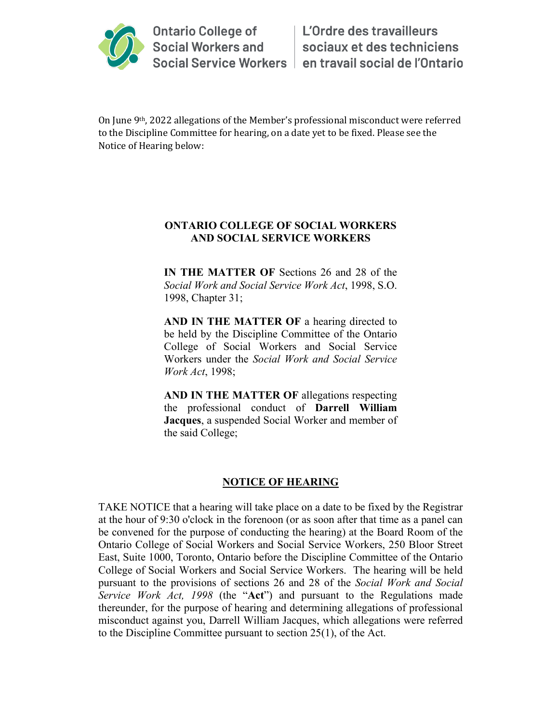

On June 9th, 2022 allegations of the Member's professional misconduct were referred to the Discipline Committee for hearing, on a date yet to be fixed. Please see the Notice of Hearing below:

## **ONTARIO COLLEGE OF SOCIAL WORKERS AND SOCIAL SERVICE WORKERS**

**IN THE MATTER OF** Sections 26 and 28 of the *Social Work and Social Service Work Act*, 1998, S.O. 1998, Chapter 31;

**AND IN THE MATTER OF** a hearing directed to be held by the Discipline Committee of the Ontario College of Social Workers and Social Service Workers under the *Social Work and Social Service Work Act*, 1998;

**AND IN THE MATTER OF** allegations respecting the professional conduct of **Darrell William Jacques**, a suspended Social Worker and member of the said College;

## **NOTICE OF HEARING**

TAKE NOTICE that a hearing will take place on a date to be fixed by the Registrar at the hour of 9:30 o'clock in the forenoon (or as soon after that time as a panel can be convened for the purpose of conducting the hearing) at the Board Room of the Ontario College of Social Workers and Social Service Workers, 250 Bloor Street East, Suite 1000, Toronto, Ontario before the Discipline Committee of the Ontario College of Social Workers and Social Service Workers. The hearing will be held pursuant to the provisions of sections 26 and 28 of the *Social Work and Social Service Work Act, 1998* (the "**Act**") and pursuant to the Regulations made thereunder, for the purpose of hearing and determining allegations of professional misconduct against you, Darrell William Jacques, which allegations were referred to the Discipline Committee pursuant to section 25(1), of the Act.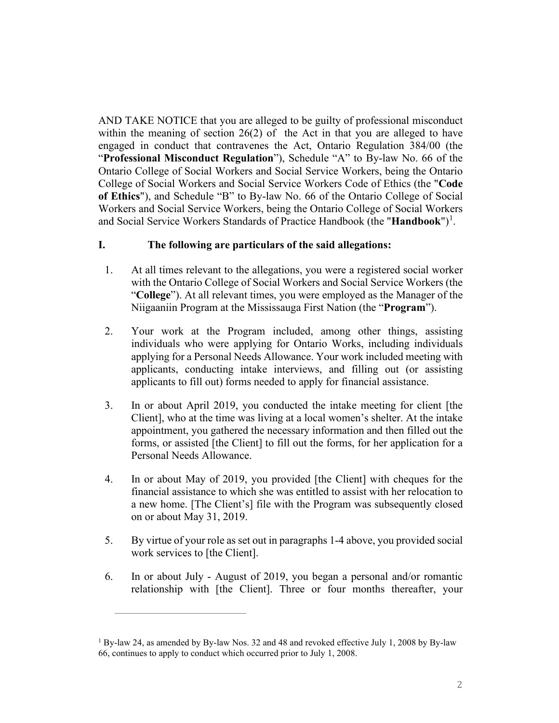AND TAKE NOTICE that you are alleged to be guilty of professional misconduct within the meaning of section  $26(2)$  of the Act in that you are alleged to have engaged in conduct that contravenes the Act, Ontario Regulation 384/00 (the "**Professional Misconduct Regulation**"), Schedule "A" to By-law No. 66 of the Ontario College of Social Workers and Social Service Workers, being the Ontario College of Social Workers and Social Service Workers Code of Ethics (the "**Code of Ethics**"), and Schedule "B" to By-law No. 66 of the Ontario College of Social Workers and Social Service Workers, being the Ontario College of Social Workers and Social Service Workers Standards of Practice Handbook (the "**Handbook**")<sup>[1](#page-1-0)</sup>.

## **I. The following are particulars of the said allegations:**

- 1. At all times relevant to the allegations, you were a registered social worker with the Ontario College of Social Workers and Social Service Workers (the "**College**"). At all relevant times, you were employed as the Manager of the Niigaaniin Program at the Mississauga First Nation (the "**Program**").
- 2. Your work at the Program included, among other things, assisting individuals who were applying for Ontario Works, including individuals applying for a Personal Needs Allowance. Your work included meeting with applicants, conducting intake interviews, and filling out (or assisting applicants to fill out) forms needed to apply for financial assistance.
- 3. In or about April 2019, you conducted the intake meeting for client [the Client], who at the time was living at a local women's shelter. At the intake appointment, you gathered the necessary information and then filled out the forms, or assisted [the Client] to fill out the forms, for her application for a Personal Needs Allowance.
- 4. In or about May of 2019, you provided [the Client] with cheques for the financial assistance to which she was entitled to assist with her relocation to a new home. [The Client's] file with the Program was subsequently closed on or about May 31, 2019.
- 5. By virtue of your role as set out in paragraphs 1-4 above, you provided social work services to [the Client].
- 6. In or about July August of 2019, you began a personal and/or romantic relationship with [the Client]. Three or four months thereafter, your

<span id="page-1-0"></span><sup>&</sup>lt;sup>1</sup> By-law 24, as amended by By-law Nos. 32 and 48 and revoked effective July 1, 2008 by By-law 66, continues to apply to conduct which occurred prior to July 1, 2008.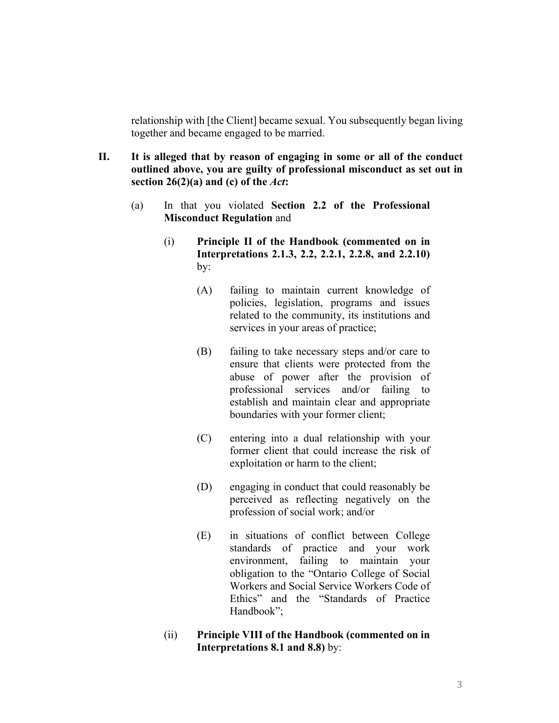relationship with [the Client] became sexual. You subsequently began living together and became engaged to be married.

- **II. It is alleged that by reason of engaging in some or all of the conduct outlined above, you are guilty of professional misconduct as set out in section 26(2)(a) and (c) of the** *Act***:**
	- (a) In that you violated **Section 2.2 of the Professional Misconduct Regulation** and
		- (i) **Principle II of the Handbook (commented on in Interpretations 2.1.3, 2.2, 2.2.1, 2.2.8, and 2.2.10)** by:
			- (A) failing to maintain current knowledge of policies, legislation, programs and issues related to the community, its institutions and services in your areas of practice;
			- (B) failing to take necessary steps and/or care to ensure that clients were protected from the abuse of power after the provision of professional services and/or failing to establish and maintain clear and appropriate boundaries with your former client;
			- (C) entering into a dual relationship with your former client that could increase the risk of exploitation or harm to the client;
			- (D) engaging in conduct that could reasonably be perceived as reflecting negatively on the profession of social work; and/or
			- (E) in situations of conflict between College standards of practice and your work environment, failing to maintain your obligation to the "Ontario College of Social Workers and Social Service Workers Code of Ethics" and the "Standards of Practice Handbook";
		- (ii) **Principle VIII of the Handbook (commented on in Interpretations 8.1 and 8.8)** by: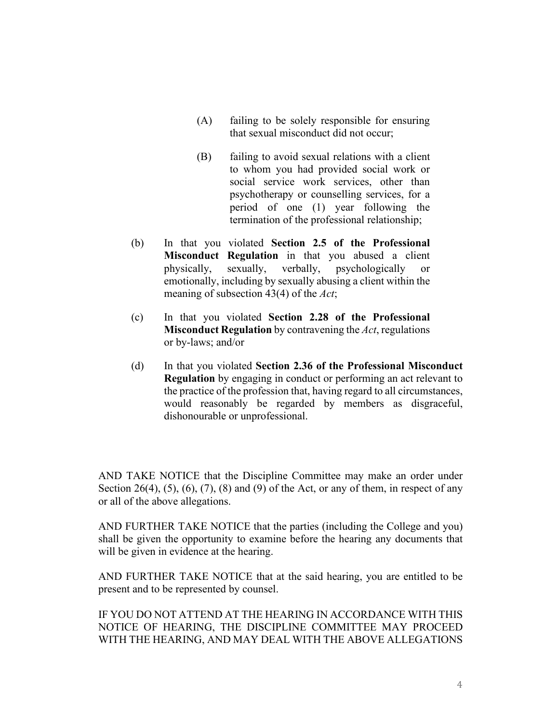- (A) failing to be solely responsible for ensuring that sexual misconduct did not occur;
- (B) failing to avoid sexual relations with a client to whom you had provided social work or social service work services, other than psychotherapy or counselling services, for a period of one (1) year following the termination of the professional relationship;
- (b) In that you violated **Section 2.5 of the Professional Misconduct Regulation** in that you abused a client physically, sexually, verbally, psychologically or emotionally, including by sexually abusing a client within the meaning of subsection 43(4) of the *Act*;
- (c) In that you violated **Section 2.28 of the Professional Misconduct Regulation** by contravening the *Act*, regulations or by-laws; and/or
- (d) In that you violated **Section 2.36 of the Professional Misconduct Regulation** by engaging in conduct or performing an act relevant to the practice of the profession that, having regard to all circumstances, would reasonably be regarded by members as disgraceful, dishonourable or unprofessional.

AND TAKE NOTICE that the Discipline Committee may make an order under Section 26(4),  $(5)$ ,  $(6)$ ,  $(7)$ ,  $(8)$  and  $(9)$  of the Act, or any of them, in respect of any or all of the above allegations.

AND FURTHER TAKE NOTICE that the parties (including the College and you) shall be given the opportunity to examine before the hearing any documents that will be given in evidence at the hearing.

AND FURTHER TAKE NOTICE that at the said hearing, you are entitled to be present and to be represented by counsel.

IF YOU DO NOT ATTEND AT THE HEARING IN ACCORDANCE WITH THIS NOTICE OF HEARING, THE DISCIPLINE COMMITTEE MAY PROCEED WITH THE HEARING, AND MAY DEAL WITH THE ABOVE ALLEGATIONS